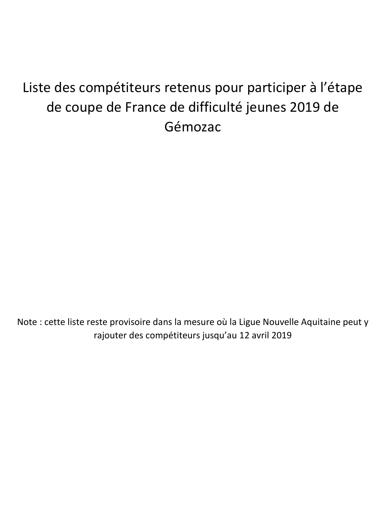## Liste des compétiteurs retenus pour participer à l'étape de coupe de France de difficulté jeunes 2019 de Gémozac

Note : cette liste reste provisoire dans la mesure où la Ligue Nouvelle Aquitaine peut y rajouter des compétiteurs jusqu'au 12 avril 2019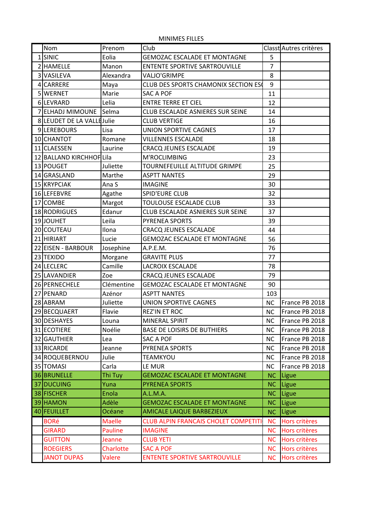| Nom                       | Prenom         | Club                                        |           | Classt Autres critères |
|---------------------------|----------------|---------------------------------------------|-----------|------------------------|
| 1SINIC                    | Eolia          | <b>GEMOZAC ESCALADE ET MONTAGNE</b>         |           |                        |
| 2 HAMELLE                 | Manon          | <b>ENTENTE SPORTIVE SARTROUVILLE</b>        |           |                        |
| 3 VASILEVA                | Alexandra      | VALJO'GRIMPE                                | 8         |                        |
| 4 CARRERE                 | Maya           | <b>CLUB DES SPORTS CHAMONIX SECTION ESC</b> | 9         |                        |
| 5 WERNET                  | Marie          | <b>SAC A POF</b>                            | 11        |                        |
| 6LEVRARD                  | Lelia          | <b>ENTRE TERRE ET CIEL</b>                  | 12        |                        |
| 7 ELHADJ MIMOUNE          | Selma          | CLUB ESCALADE ASNIERES SUR SEINE            | 14        |                        |
| 8 LEUDET DE LA VALLEJulie |                | <b>CLUB VERTIGE</b>                         | 16        |                        |
| 9LEREBOURS                | Lisa           | <b>UNION SPORTIVE CAGNES</b>                | 17        |                        |
| 10 CHANTOT                | Romane         | <b>VILLENNES ESCALADE</b>                   | 18        |                        |
| 11 CLAESSEN               | Laurine        | <b>CRACQ JEUNES ESCALADE</b>                | 19        |                        |
| 12 BALLAND KIRCHHOFLila   |                | M'ROCLIMBING                                | 23        |                        |
| 13 POUGET                 | Juliette       | TOURNEFEUILLE ALTITUDE GRIMPE               | 25        |                        |
| 14 GRASLAND               | Marthe         | <b>ASPTT NANTES</b>                         | 29        |                        |
| 15 KRYPCIAK               | Ana S          | <b>IMAGINE</b>                              | 30        |                        |
| 16 LEFEBVRE               | Agathe         | SPID'EURE CLUB                              | 32        |                        |
| 17 COMBE                  | Margot         | TOULOUSE ESCALADE CLUB                      | 33        |                        |
| 18 RODRIGUES              | Edanur         | CLUB ESCALADE ASNIERES SUR SEINE            | 37        |                        |
| 19JOUHET                  | Leila          | <b>PYRENEA SPORTS</b>                       | 39        |                        |
| 20 COUTEAU                | Ilona          | <b>CRACQ JEUNES ESCALADE</b>                | 44        |                        |
| 21 HIRIART                | Lucie          | <b>GEMOZAC ESCALADE ET MONTAGNE</b>         | 56        |                        |
| 22 EISEN - BARBOUR        | Josephine      | A.P.E.M.                                    |           |                        |
| 23 TEXIDO                 | Morgane        | <b>GRAVITE PLUS</b>                         | 77        |                        |
| 24 LECLERC                | Camille        | <b>LACROIX ESCALADE</b>                     | 78        |                        |
| 25 LAVANDIER              | Zoe            | <b>CRACQ JEUNES ESCALADE</b>                | 79        |                        |
| 26 PERNECHELE             | Clémentine     | <b>GEMOZAC ESCALADE ET MONTAGNE</b>         | 90        |                        |
| 27 PENARD                 | Azénor         | <b>ASPTT NANTES</b>                         | 103       |                        |
| 28 ABRAM                  | Juliette       | <b>UNION SPORTIVE CAGNES</b>                | <b>NC</b> | France PB 2018         |
| 29 BECQUAERT              | Flavie         | <b>REZ'IN ET ROC</b>                        | <b>NC</b> | France PB 2018         |
| 30 DESHAYES               | Louna          | <b>MINERAL SPIRIT</b>                       | <b>NC</b> | France PB 2018         |
| 31 ECOTIERE               | Noélie         | <b>BASE DE LOISIRS DE BUTHIERS</b>          | NС        | France PB 2018         |
| 32 GAUTHIER               | Lea            | <b>SAC A POF</b>                            | <b>NC</b> | France PB 2018         |
| 33 RICARDE                | Jeanne         | PYRENEA SPORTS                              | NC        | France PB 2018         |
| 34 ROQUEBERNOU            | Julie          | TEAMKYOU                                    | <b>NC</b> | France PB 2018         |
| 35 TOMASI                 | Carla          | LE MUR                                      | <b>NC</b> | France PB 2018         |
| 36 BRUNELLE               | Thi Tuy        | <b>GEMOZAC ESCALADE ET MONTAGNE</b>         | <b>NC</b> | Ligue                  |
| 37 DUCUING                | Yuna           | <b>PYRENEA SPORTS</b>                       | NC        | Ligue                  |
| 38 FISCHER                | Enola          | A.L.M.A.                                    | NC        | Ligue                  |
| 39 HAMON                  | Adèle          | <b>GEMOZAC ESCALADE ET MONTAGNE</b>         | NC        | Ligue                  |
| 40 FEUILLET               | Océane         | <b>AMICALE LAIQUE BARBEZIEUX</b>            | NC        | Ligue                  |
| <b>BORé</b>               | <b>Maelle</b>  | CLUB ALPIN FRANCAIS CHOLET COMPETITI        | NC        | Hors critères          |
| <b>GIRARD</b>             | <b>Pauline</b> | <b>IMAGINE</b>                              | <b>NC</b> | Hors critères          |
| <b>GUITTON</b>            | Jeanne         | <b>CLUB YETI</b>                            | <b>NC</b> | Hors critères          |
| <b>ROEGIERS</b>           | Charlotte      | <b>SAC A POF</b>                            | <b>NC</b> | Hors critères          |
| <b>JANOT DUPAS</b>        | Valere         | <b>ENTENTE SPORTIVE SARTROUVILLE</b>        | <b>NC</b> | Hors critères          |

**MINIMES FILLES**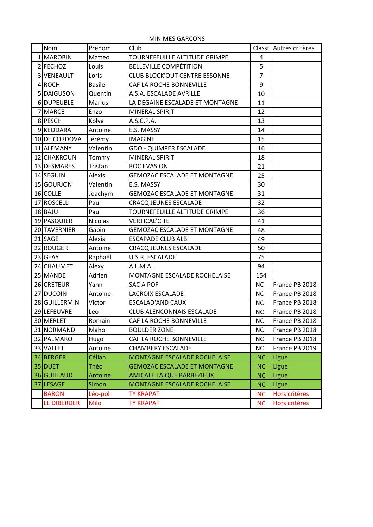|    | Nom                 | Prenom         | Club                                |                | Classt Autres critères |
|----|---------------------|----------------|-------------------------------------|----------------|------------------------|
|    | 1 MAROBIN           | Matteo         | TOURNEFEUILLE ALTITUDE GRIMPE       | 4              |                        |
|    | 2 FECHOZ            | Louis          | <b>BELLEVILLE COMPÉTITION</b>       | 5              |                        |
|    | 3 VENEAULT<br>Loris |                | CLUB BLOCK'OUT CENTRE ESSONNE       | $\overline{7}$ |                        |
|    | 4ROCH               | <b>Basile</b>  | CAF LA ROCHE BONNEVILLE             | 9              |                        |
|    | 5 DAIGUSON          | Quentin        | A.S.A. ESCALADE AVRILLE             | 10             |                        |
|    | 6DUPEUBLE           | Marius         | LA DEGAINE ESCALADE ET MONTAGNE     | 11             |                        |
|    | 7 MARCE             | Enzo           | MINERAL SPIRIT                      | 12             |                        |
|    | 8 PESCH             | Kolya          | A.S.C.P.A.                          | 13             |                        |
|    | 9KEODARA            | Antoine        | E.S. MASSY                          | 14             |                        |
|    | 10 DE CORDOVA       | Jérémy         | <b>IMAGINE</b>                      | 15             |                        |
|    | 11 ALEMANY          | Valentin       | <b>GDO - QUIMPER ESCALADE</b>       | 16             |                        |
|    | 12 CHAKROUN         | Tommy          | MINERAL SPIRIT                      | 18             |                        |
|    | 13 DESMARES         | Tristan        | <b>ROC EVASION</b>                  | 21             |                        |
|    | 14 SEGUIN           | Alexis         | <b>GEMOZAC ESCALADE ET MONTAGNE</b> | 25             |                        |
|    | 15 GOURJON          | Valentin       | E.S. MASSY                          | 30             |                        |
|    | 16 COLLE            | Joachym        | <b>GEMOZAC ESCALADE ET MONTAGNE</b> | 31             |                        |
|    | 17 ROSCELLI         | Paul           | CRACQ JEUNES ESCALADE               | 32             |                        |
|    | 18 BAJU             | Paul           | TOURNEFEUILLE ALTITUDE GRIMPE       | 36             |                        |
|    | 19 PASQUIER         | <b>Nicolas</b> | <b>VERTICAL'CITE</b>                | 41             |                        |
|    | 20 TAVERNIER        | Gabin          | <b>GEMOZAC ESCALADE ET MONTAGNE</b> | 48             |                        |
|    | 21 SAGE             | Alexis         | <b>ESCAPADE CLUB ALBI</b>           | 49             |                        |
|    | 22 ROUGER           | Antoine        | <b>CRACQ JEUNES ESCALADE</b>        | 50             |                        |
|    | 23 GEAY             | Raphaël        | U.S.R. ESCALADE                     | 75             |                        |
|    | 24 CHAUMET          | Alexy          | A.L.M.A.                            | 94             |                        |
|    | 25 MANDE            | Adrien         | MONTAGNE ESCALADE ROCHELAISE        | 154            |                        |
|    | 26 CRETEUR          | Yann           | <b>SAC A POF</b>                    | <b>NC</b>      | France PB 2018         |
|    | 27 DUCOIN           | Antoine        | LACROIX ESCALADE                    | <b>NC</b>      | France PB 2018         |
|    | 28 GUILLERMIN       | Victor         | <b>ESCALAD'AND CAUX</b>             | <b>NC</b>      | France PB 2018         |
|    | 29 LEFEUVRE         | Leo            | CLUB ALENCONNAIS ESCALADE           | <b>NC</b>      | France PB 2018         |
|    | 30 MERLET           | Romain         | CAF LA ROCHE BONNEVILLE             | <b>NC</b>      | France PB 2018         |
|    | 31 NORMAND          | Maho           | <b>BOULDER ZONE</b>                 | <b>NC</b>      | France PB 2018         |
|    | 32 PALMARO          | Hugo           | CAF LA ROCHE BONNEVILLE             | <b>NC</b>      | France PB 2018         |
|    | 33 VALLET           | Antoine        | <b>CHAMBERY ESCALADE</b>            | NC             | France PB 2019         |
|    | 34 BERGER           | Célian         | MONTAGNE ESCALADE ROCHELAISE        | <b>NC</b>      | Ligue                  |
|    | 35 DUET             | Théo           | <b>GEMOZAC ESCALADE ET MONTAGNE</b> | <b>NC</b>      | Ligue                  |
|    | 36 GUILLAUD         | Antoine        | <b>AMICALE LAIQUE BARBEZIEUX</b>    | <b>NC</b>      | Ligue                  |
| 37 | <b>LESAGE</b>       | Simon          | MONTAGNE ESCALADE ROCHELAISE        | <b>NC</b>      | Ligue                  |
|    | <b>BARON</b>        | Léo-pol        | <b>TY KRAPAT</b>                    | <b>NC</b>      | Hors critères          |
|    | LE DIBERDER         | Milo           | <b>TY KRAPAT</b>                    | <b>NC</b>      | Hors critères          |

MINIMES GARCONS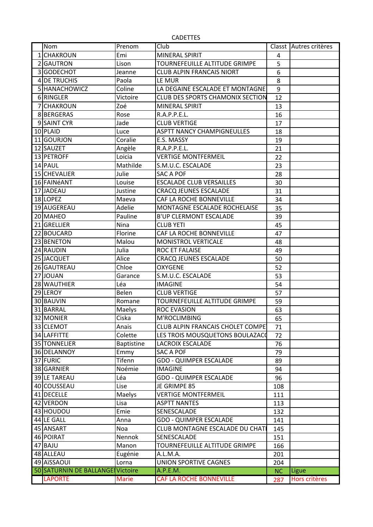|    | <b>CADETTES</b>                  |                   |                                         |           |                        |  |  |  |
|----|----------------------------------|-------------------|-----------------------------------------|-----------|------------------------|--|--|--|
|    | Nom                              | Prenom            | Club                                    |           | Classt Autres critères |  |  |  |
|    | 1 CHAKROUN                       | Emi               | <b>MINERAL SPIRIT</b>                   | 4         |                        |  |  |  |
|    | 2 GAUTRON                        | Lison             | TOURNEFEUILLE ALTITUDE GRIMPE           | 5         |                        |  |  |  |
| 3  | <b>GODECHOT</b>                  | Jeanne            | <b>CLUB ALPIN FRANCAIS NIORT</b>        | 6         |                        |  |  |  |
|    | <b>4 DE TRUCHIS</b>              | Paola             | LE MUR                                  | 8         |                        |  |  |  |
|    | 5 HANACHOWICZ                    | Coline            | LA DEGAINE ESCALADE ET MONTAGNE         | 9         |                        |  |  |  |
|    | 6 RINGLER                        | Victoire          | <b>CLUB DES SPORTS CHAMONIX SECTION</b> | 12        |                        |  |  |  |
|    | <b>CHAKROUN</b>                  | Zoé               | <b>MINERAL SPIRIT</b>                   | 13        |                        |  |  |  |
|    | 8BERGERAS                        | Rose              | R.A.P.P.E.L.                            | 16        |                        |  |  |  |
|    | 9 SAINT CYR                      | Jade              | <b>CLUB VERTIGE</b>                     | 17        |                        |  |  |  |
|    | 10 PLAID                         | Luce              | <b>ASPTT NANCY CHAMPIGNEULLES</b>       | 18        |                        |  |  |  |
|    | 11 GOURJON                       | Coralie           | E.S. MASSY                              | 19        |                        |  |  |  |
|    | 12 SAUZET                        | Angèle            | R.A.P.P.E.L.                            | 21        |                        |  |  |  |
|    | 13 PETROFF                       | Loicia            | <b>VERTIGE MONTFERMEIL</b>              | 22        |                        |  |  |  |
|    | 14 PAUL                          | Mathilde          | S.M.U.C. ESCALADE                       | 23        |                        |  |  |  |
|    | 15 CHEVALIER                     | Julie             | <b>SAC A POF</b>                        | 28        |                        |  |  |  |
|    | 16 FAINÉANT                      | Louise            | <b>ESCALADE CLUB VERSAILLES</b>         | 30        |                        |  |  |  |
|    | 17 JADEAU                        | Justine           | CRACQ JEUNES ESCALADE                   | 31        |                        |  |  |  |
|    | 18 LOPEZ                         | Maeva             | CAF LA ROCHE BONNEVILLE                 | 34        |                        |  |  |  |
|    | 19 AUGEREAU                      | Adelie            | MONTAGNE ESCALADE ROCHELAISE            | 35        |                        |  |  |  |
|    | 20 MAHEO                         | Pauline           | <b>B'UP CLERMONT ESCALADE</b>           | 39        |                        |  |  |  |
|    | 21 GRELLIER                      | Nina              | <b>CLUB YETI</b>                        | 45        |                        |  |  |  |
| 22 | <b>BOUCARD</b>                   | Florine           | CAF LA ROCHE BONNEVILLE                 | 47        |                        |  |  |  |
|    | 23 BENETON                       | Malou             | MONISTROL VERTICALE                     | 48        |                        |  |  |  |
|    | 24 RAUDIN                        | Julia             | ROC ET FALAISE                          | 49        |                        |  |  |  |
|    | 25 JACQUET                       | Alice             | <b>CRACQ JEUNES ESCALADE</b>            | 50        |                        |  |  |  |
|    | 26 GAUTREAU                      | Chloe             | <b>OXYGENE</b>                          | 52        |                        |  |  |  |
|    | 27 JOUAN                         | Garance           | S.M.U.C. ESCALADE                       | 53        |                        |  |  |  |
|    | 28 WAUTHIER                      | Léa               | <b>IMAGINE</b>                          | 54        |                        |  |  |  |
|    | 29 LEROY                         | Belen             | <b>CLUB VERTIGE</b>                     | 57        |                        |  |  |  |
| 30 | <b>BAUVIN</b>                    | Romane            | TOURNEFEUILLE ALTITUDE GRIMPE           | 59        |                        |  |  |  |
|    | 31 BARRAL                        | Maelys            | <b>ROC EVASION</b>                      | 63        |                        |  |  |  |
|    | 32 MONIER                        | Ciska             | M'ROCLIMBING                            | 65        |                        |  |  |  |
|    | 33 CLEMOT                        | Anais             | CLUB ALPIN FRANCAIS CHOLET COMPE        | 71        |                        |  |  |  |
|    | 34 LAFFITTE                      | Colette           | LES TROIS MOUSQUETONS BOULAZACO         | 72        |                        |  |  |  |
|    | 35 TONNELIER                     | <b>Baptistine</b> | <b>LACROIX ESCALADE</b>                 | 76        |                        |  |  |  |
|    | 36 DELANNOY                      | Emmy              | SAC A POF                               | 79        |                        |  |  |  |
|    | 37 FURIC                         | Tifenn            | <b>GDO - QUIMPER ESCALADE</b>           | 89        |                        |  |  |  |
|    | 38 GARNIER                       | Noémie            | <b>IMAGINE</b>                          | 94        |                        |  |  |  |
|    | 39 LE TAREAU                     | Léa               | <b>GDO - QUIMPER ESCALADE</b>           | 96        |                        |  |  |  |
|    | 40 COUSSEAU                      | Lise              | JE GRIMPE 85                            | 108       |                        |  |  |  |
|    | 41 DECELLE                       | Maelys            | <b>VERTIGE MONTFERMEIL</b>              | 111       |                        |  |  |  |
|    | 42 VERDON                        | Lisa              | <b>ASPTT NANTES</b>                     | 113       |                        |  |  |  |
|    | 43 HOUDOU                        | Emie              | SENESCALADE                             | 132       |                        |  |  |  |
|    | 44 LE GALL                       | Anna              | <b>GDO - QUIMPER ESCALADE</b>           | 141       |                        |  |  |  |
|    | 45 ANSART                        | Noa               | CLUB MONTAGNE ESCALADE DU CHAT          | 145       |                        |  |  |  |
|    | 46 POIRAT                        | Nennok            | SENESCALADE                             | 151       |                        |  |  |  |
|    | 47 BAJU                          | Manon             | TOURNEFEUILLE ALTITUDE GRIMPE           | 166       |                        |  |  |  |
|    | 48 ALLEAU                        | Eugénie           | A.L.M.A.                                | 201       |                        |  |  |  |
|    | 49 AïSSAOUI                      | Lorna             | <b>UNION SPORTIVE CAGNES</b>            | 204       |                        |  |  |  |
|    | 50 SATURNIN DE BALLANGE Victoire |                   | A.P.E.M.                                | <b>NC</b> | Ligue                  |  |  |  |
|    | <b>LAPORTE</b>                   | <b>Marie</b>      | <b>CAF LA ROCHE BONNEVILLE</b>          | 287       | Hors critères          |  |  |  |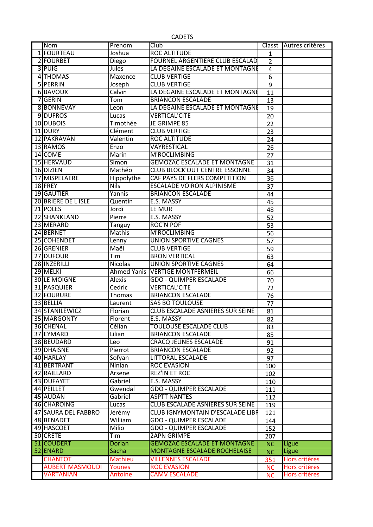|    | <b>CADETS</b>                              |                    |                                                                            |                |                                |  |  |  |
|----|--------------------------------------------|--------------------|----------------------------------------------------------------------------|----------------|--------------------------------|--|--|--|
|    | Nom                                        | Prenom             | Club                                                                       |                | Classt Autres critères         |  |  |  |
|    | 1 FOURTEAU                                 | Joshua             | <b>ROC ALTITUDE</b>                                                        | 1              |                                |  |  |  |
|    | 2 FOURBET                                  | Diego              | <b>FOURNEL ARGENTIERE CLUB ESCALAD</b>                                     | $\overline{2}$ |                                |  |  |  |
|    | 3 PUIG                                     | Jules              | LA DEGAINE ESCALADE ET MONTAGNE                                            | 4              |                                |  |  |  |
|    | 4 THOMAS                                   | <b>Maxence</b>     | <b>CLUB VERTIGE</b>                                                        | 6              |                                |  |  |  |
|    | 5 PERRIN                                   | Joseph             | <b>CLUB VERTIGE</b>                                                        | 9              |                                |  |  |  |
|    | 6 BAVOUX                                   | Calvin             | LA DEGAINE ESCALADE ET MONTAGNE                                            | 11             |                                |  |  |  |
|    | 7 GERIN                                    | Tom                | <b>BRIANCON ESCALADE</b>                                                   | 13             |                                |  |  |  |
|    | 8BONNEVAY                                  | Leon               | LA DEGAINE ESCALADE ET MONTAGNE                                            | 19             |                                |  |  |  |
|    | 9 DUFROS                                   | Lucas              | <b>VERTICAL'CITE</b>                                                       | 20             |                                |  |  |  |
|    | 10 DUBOIS                                  | Timothée           | JE GRIMPE 85                                                               | 22             |                                |  |  |  |
|    | 11 DURY                                    | Clément            | <b>CLUB VERTIGE</b>                                                        | 23             |                                |  |  |  |
| 12 | <b>PAKRAVAN</b>                            | Valentin           | <b>ROC ALTITUDE</b>                                                        | 24             |                                |  |  |  |
|    | 13 RAMOS                                   | Enzo               | <b>VAYRESTICAL</b>                                                         | 26             |                                |  |  |  |
|    | 14 COME                                    | Marin              | M'ROCLIMBING                                                               | 27             |                                |  |  |  |
|    | 15 HERVAUD                                 | Simon              | <b>GEMOZAC ESCALADE ET MONTAGNE</b>                                        | 31             |                                |  |  |  |
|    | 16 DIZIEN                                  | Mathéo             | <b>CLUB BLOCK'OUT CENTRE ESSONNE</b>                                       | 34             |                                |  |  |  |
|    | 17 MISPELAERE                              | Hippolythe         | CAF PAYS DE FLERS COMPETITION                                              | 36             |                                |  |  |  |
|    | 18 FREY                                    | <b>Nils</b>        | <b>ESCALADE VOIRON ALPINISME</b>                                           | 37             |                                |  |  |  |
|    | 19 GAUTIER                                 | Yannis             | <b>BRIANCON ESCALADE</b>                                                   | 44             |                                |  |  |  |
|    | 20 BRIERE DE L ISLE                        | Quentin            | E.S. MASSY                                                                 | 45             |                                |  |  |  |
|    | 21 POLES                                   | Jordi              | LE MUR                                                                     | 48             |                                |  |  |  |
|    | 22 SHANKLAND                               | Pierre             | E.S. MASSY                                                                 | 52             |                                |  |  |  |
|    | 23 MERARD                                  | Tanguy             | <b>ROC'N POF</b>                                                           | 53             |                                |  |  |  |
| 24 | <b>BERNET</b>                              | <b>Mathis</b>      | M'ROCLIMBING                                                               | 56             |                                |  |  |  |
|    | 25 COHENDET                                | Lenny              | UNION SPORTIVE CAGNES                                                      | 57             |                                |  |  |  |
|    | 26 GRENIER                                 | Maël               | <b>CLUB VERTIGE</b>                                                        | 59             |                                |  |  |  |
| 27 | <b>DUFOUR</b>                              | Tim                | <b>BRON VERTICAL</b>                                                       | 63             |                                |  |  |  |
|    | 28 INZERILLI                               | <b>Nicolas</b>     | <b>UNION SPORTIVE CAGNES</b>                                               | 64             |                                |  |  |  |
|    | 29 MELKI                                   | <b>Ahmed Yanis</b> | <b>VERTIGE MONTFERMEIL</b>                                                 | 66             |                                |  |  |  |
|    | <b>30 LE MOIGNE</b>                        | <b>Alexis</b>      | <b>GDO - QUIMPER ESCALADE</b>                                              | 70             |                                |  |  |  |
|    | 31 PASQUIER                                | Cedric             | <b>VERTICAL'CITE</b>                                                       | 72             |                                |  |  |  |
|    | 32 FOURURE                                 | Thomas             | <b>BRIANCON ESCALADE</b>                                                   | 76             |                                |  |  |  |
|    | 33 BELLIA                                  | Laurent            | <b>SAS BO TOULOUSE</b>                                                     | 77             |                                |  |  |  |
|    | 34 STANILEWICZ                             | Florian            | <b>CLUB ESCALADE ASNIERES SUR SEINE</b>                                    | 81             |                                |  |  |  |
|    | 35 MARGONTY                                | Florent            | E.S. MASSY                                                                 | 82             |                                |  |  |  |
|    | <b>36 CHENAL</b>                           | Célian             | <b>TOULOUSE ESCALADE CLUB</b>                                              | 83             |                                |  |  |  |
|    | 37 EYMARD                                  | Lilian             | <b>BRIANCON ESCALADE</b>                                                   | 85             |                                |  |  |  |
|    | 38 BEUDARD                                 | Leo                | <b>CRACQ JEUNES ESCALADE</b>                                               | 91             |                                |  |  |  |
|    | 39 DHAISNE                                 | Pierrot            | <b>BRIANCON ESCALADE</b>                                                   | 92             |                                |  |  |  |
|    | 40 HARLAY                                  | Sofyan             | <b>LITTORAL ESCALADE</b>                                                   | 97             |                                |  |  |  |
|    | 41 BERTRANT                                | Ninian             | <b>ROC EVASION</b>                                                         | 100            |                                |  |  |  |
|    | <b>42 RAILLARD</b>                         | Arsene             | <b>REZ'IN ET ROC</b>                                                       | 102            |                                |  |  |  |
|    | <b>43 DUFAYET</b>                          | Gabriel            | E.S. MASSY                                                                 | 110            |                                |  |  |  |
|    | 44 PEILLET                                 | Gwendal            | <b>GDO - QUIMPER ESCALADE</b>                                              | 111            |                                |  |  |  |
|    | 45 AUDAN                                   | Gabriel            | <b>ASPTT NANTES</b>                                                        | 112            |                                |  |  |  |
|    | 46 CHAROING                                | Lucas              | CLUB ESCALADE ASNIERES SUR SEINE                                           | 119            |                                |  |  |  |
|    | 47 SAURA DEL FABBRO                        | Jérémy             | CLUB IGNYMONTAIN D'ESCALADE LIBF                                           | 121            |                                |  |  |  |
|    | 48 BENADET                                 | William            | <b>GDO - QUIMPER ESCALADE</b>                                              | 144            |                                |  |  |  |
|    | 49 HASCOET                                 | Milio              | <b>GDO - QUIMPER ESCALADE</b>                                              | 152            |                                |  |  |  |
|    | 50 CRETE                                   | Tim                | <b>2APN GRIMPE</b>                                                         | 207            |                                |  |  |  |
|    | 51 COUDERT                                 | Dorian             | <b>GEMOZAC ESCALADE ET MONTAGNE</b><br><b>MONTAGNE ESCALADE ROCHELAISE</b> | <b>NC</b>      | Ligue                          |  |  |  |
|    | 52 ENARD                                   | <b>Sacha</b>       |                                                                            | <b>NC</b>      | Ligue                          |  |  |  |
|    | <b>CHANTOT</b>                             | <b>Mathieu</b>     | <b>VILLENNES ESCALADE</b>                                                  | 351            | Hors critères                  |  |  |  |
|    | <b>AUBERT MASMOUDI</b><br><b>VARTANIAN</b> | Younes<br>Antoine  | <b>ROC EVASION</b><br><b>CAMV ESCALADE</b>                                 | <b>NC</b>      | Hors critères<br>Hors critères |  |  |  |
|    |                                            |                    |                                                                            | <b>NC</b>      |                                |  |  |  |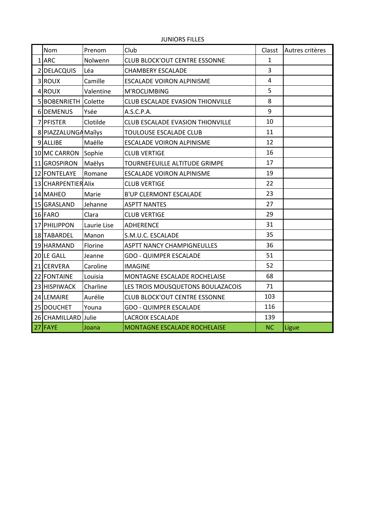| Nom                  | Prenom      | Club                                    | Classt       | Autres critères |
|----------------------|-------------|-----------------------------------------|--------------|-----------------|
| $1$ ARC              | Nolwenn     | <b>CLUB BLOCK'OUT CENTRE ESSONNE</b>    | $\mathbf{1}$ |                 |
| 2 DELACQUIS          | Léa         | <b>CHAMBERY ESCALADE</b>                | 3            |                 |
| 3ROUX                | Camille     | <b>ESCALADE VOIRON ALPINISME</b>        | 4            |                 |
| 4 ROUX               | Valentine   | M'ROCLIMBING                            | 5            |                 |
| 5 BOBENRIETH Colette |             | CLUB ESCALADE EVASION THIONVILLE        | 8            |                 |
| 6DEMENUS             | Ysée        | A.S.C.P.A.                              | 9            |                 |
| 7 PFISTER            | Clotilde    | <b>CLUB ESCALADE EVASION THIONVILLE</b> | 10           |                 |
| 8 PIAZZALUNGA Maïlys |             | TOULOUSE ESCALADE CLUB                  | 11           |                 |
| 9 ALLIBE             | Maëlle      | <b>ESCALADE VOIRON ALPINISME</b>        | 12           |                 |
| 10 MC CARRON         | Sophie      | <b>CLUB VERTIGE</b>                     | 16           |                 |
| 11 GROSPIRON         | Maëlys      | TOURNEFEUILLE ALTITUDE GRIMPE           | 17           |                 |
| 12 FONTELAYE         | Romane      | <b>ESCALADE VOIRON ALPINISME</b>        | 19           |                 |
| 13 CHARPENTIER Alix  |             | <b>CLUB VERTIGE</b>                     | 22           |                 |
| 14 MAHEO             | Marie       | <b>B'UP CLERMONT ESCALADE</b>           | 23           |                 |
| 15 GRASLAND          | Jehanne     | <b>ASPTT NANTES</b>                     | 27           |                 |
| 16 FARO              | Clara       | <b>CLUB VERTIGE</b>                     | 29           |                 |
| 17 PHILIPPON         | Laurie Lise | ADHERENCE                               | 31           |                 |
| 18 TABARDEL          | Manon       | S.M.U.C. ESCALADE                       | 35           |                 |
| 19 HARMAND           | Florine     | <b>ASPTT NANCY CHAMPIGNEULLES</b>       | 36           |                 |
| 20 LE GALL           | Jeanne      | <b>GDO - QUIMPER ESCALADE</b>           | 51           |                 |
| 21 CERVERA           | Caroline    | <b>IMAGINE</b>                          | 52           |                 |
| 22 FONTAINE          | Louisia     | MONTAGNE ESCALADE ROCHELAISE            | 68           |                 |
| 23 HISPIWACK         | Charline    | LES TROIS MOUSQUETONS BOULAZACOIS       | 71           |                 |
| 24 LEMAIRE           | Aurélie     | <b>CLUB BLOCK'OUT CENTRE ESSONNE</b>    | 103          |                 |
| 25 DOUCHET           | Youna       | <b>GDO - QUIMPER ESCALADE</b>           | 116          |                 |
| 26 CHAMILLARD Julie  |             | <b>LACROIX ESCALADE</b>                 | 139          |                 |
| 27 FAYE              | Joana       | MONTAGNE ESCALADE ROCHELAISE            | <b>NC</b>    | Ligue           |

**JUNIORS FILLES**